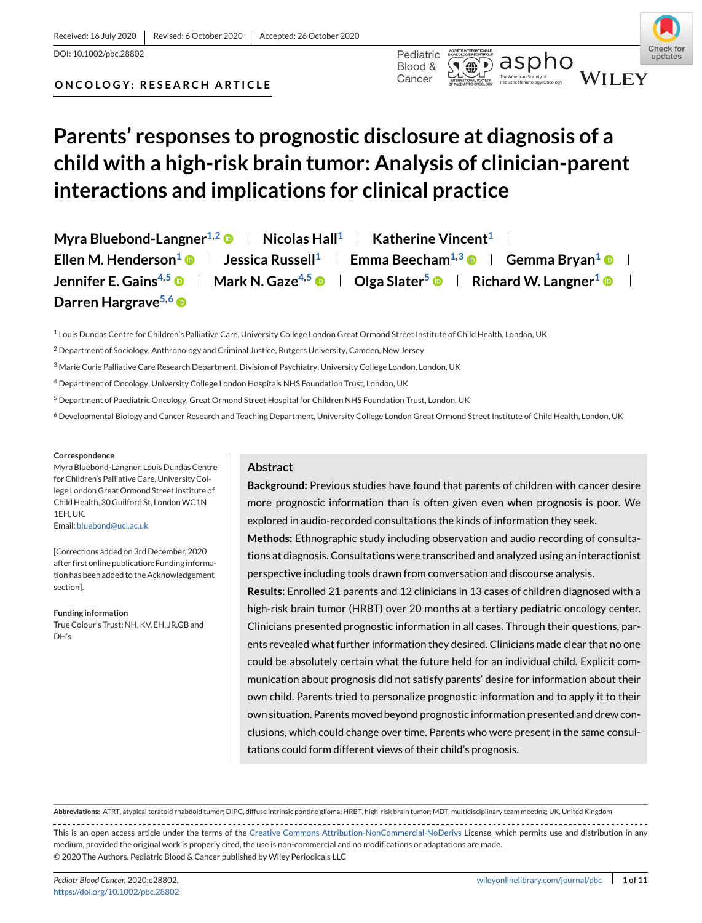#### Received: 16 July 2020 | Revised: 6 October 2020 | Accepted: 26 October 2020

DOI: 10.1002/pbc.28802 Pediatric



Pediatric Hematology/Oncology **ONCOLOGY: RESEARCH ARTICLE**

# **Parents' responses to prognostic disclosure at diagnosis of a child with a high-risk brain tumor: Analysis of clinician-parent interactions and implications for clinical practice**

Cancer

**Myra Bluebond-Langner**<sup>1,2</sup>  $\bullet$  | Nicolas Hall<sup>1</sup> | Katherine Vincent<sup>1</sup> | **Ellen M. Henderson<sup>1</sup>**  $\bullet$  **| Jessica Russell<sup>1</sup> | Emma Beecham<sup>1,3</sup>**  $\bullet$  **| Gemma Bryan<sup>1</sup>**  $\bullet$  **| Jennifer E. Gains<sup>4,5</sup>**  $\bullet$  **| Mark N. Gaze<sup>4,5</sup>**  $\bullet$  **| Olga Slater<sup>5</sup>**  $\bullet$  **| Richard W. Langner<sup>1</sup>**  $\bullet$  $\blacksquare$ Darren Hargrave<sup>5,6</sup>

 $1$  Louis Dundas Centre for Children's Palliative Care, University College London Great Ormond Street Institute of Child Health, London, UK

 $2$  Department of Sociology, Anthropology and Criminal Justice, Rutgers University, Camden, New Jersey

<sup>3</sup> Marie Curie Palliative Care Research Department, Division of Psychiatry, University College London, London, UK

<sup>4</sup> Department of Oncology, University College London Hospitals NHS Foundation Trust, London, UK

<sup>5</sup> Department of Paediatric Oncology, Great Ormond Street Hospital for Children NHS Foundation Trust, London, UK

<sup>6</sup> Developmental Biology and Cancer Research and Teaching Department, University College London Great Ormond Street Institute of Child Health, London, UK

#### **Correspondence**

Myra Bluebond-Langner, Louis Dundas Centre for Children's Palliative Care, University College London Great Ormond Street Institute of Child Health, 30 Guilford St, London WC1N 1EH, UK.

Email: [bluebond@ucl.ac.uk](mailto:bluebond@ucl.ac.uk)

[Corrections added on 3rd December, 2020 after first online publication: Funding information has been added to the Acknowledgement section].

#### **Funding information**

True Colour's Trust; NH, KV, EH, JR,GB and DH's

#### **Abstract**

**Background:** Previous studies have found that parents of children with cancer desire more prognostic information than is often given even when prognosis is poor. We explored in audio-recorded consultations the kinds of information they seek.

**Methods:** Ethnographic study including observation and audio recording of consultations at diagnosis. Consultations were transcribed and analyzed using an interactionist perspective including tools drawn from conversation and discourse analysis.

**Results:** Enrolled 21 parents and 12 clinicians in 13 cases of children diagnosed with a high-risk brain tumor (HRBT) over 20 months at a tertiary pediatric oncology center. Clinicians presented prognostic information in all cases. Through their questions, parents revealed what further information they desired. Clinicians made clear that no one could be absolutely certain what the future held for an individual child. Explicit communication about prognosis did not satisfy parents' desire for information about their own child. Parents tried to personalize prognostic information and to apply it to their own situation. Parents moved beyond prognostic information presented and drew conclusions, which could change over time. Parents who were present in the same consultations could form different views of their child's prognosis.

**Abbreviations:** ATRT, atypical teratoid rhabdoid tumor; DIPG, diffuse intrinsic pontine glioma; HRBT, high-risk brain tumor; MDT, multidisciplinary team meeting; UK, United Kingdom

This is an open access article under the terms of the [Creative Commons Attribution-NonCommercial-NoDerivs](http://creativecommons.org/licenses/by-nc-nd/4.0/) License, which permits use and distribution in any medium, provided the original work is properly cited, the use is non-commercial and no modifications or adaptations are made. © 2020 The Authors. Pediatric Blood & Cancer published by Wiley Periodicals LLC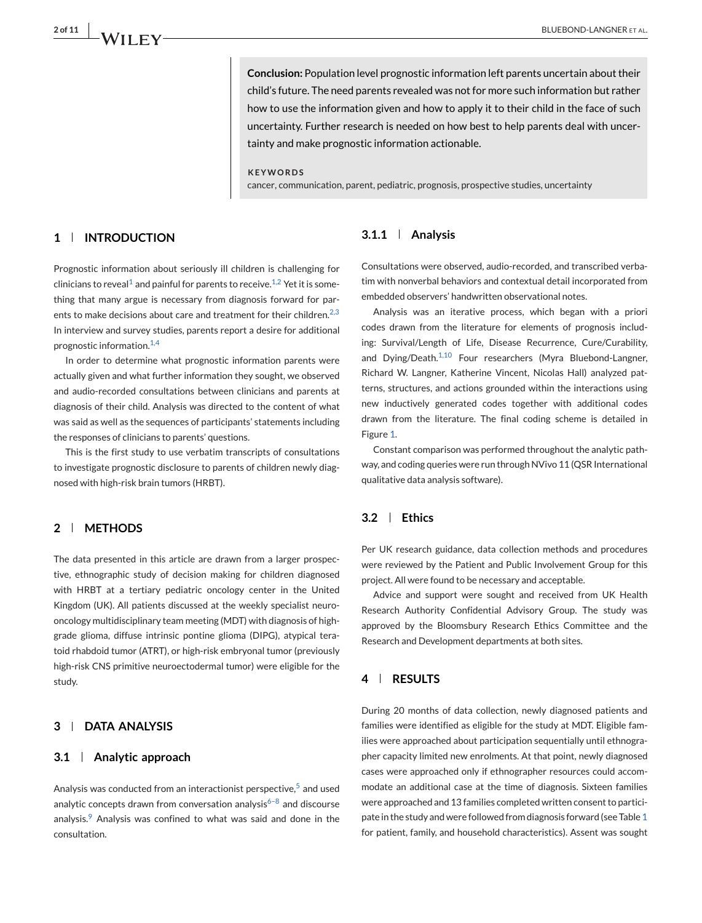**Conclusion:** Population level prognostic information left parents uncertain about their child's future. The need parents revealed was not for more such information but rather how to use the information given and how to apply it to their child in the face of such uncertainty. Further research is needed on how best to help parents deal with uncertainty and make prognostic information actionable.

#### **KEYWORDS**

cancer, communication, parent, pediatric, prognosis, prospective studies, uncertainty

# **1 INTRODUCTION**

Prognostic information about seriously ill children is challenging for clinicians to reveal<sup>[1](#page-10-0)</sup> and painful for parents to receive.<sup>[1,2](#page-10-0)</sup> Yet it is something that many argue is necessary from diagnosis forward for par-ents to make decisions about care and treatment for their children.<sup>[2,3](#page-10-0)</sup> In interview and survey studies, parents report a desire for additional prognostic information.<sup>[1,4](#page-10-0)</sup>

In order to determine what prognostic information parents were actually given and what further information they sought, we observed and audio-recorded consultations between clinicians and parents at diagnosis of their child. Analysis was directed to the content of what was said as well as the sequences of participants' statements including the responses of clinicians to parents' questions.

This is the first study to use verbatim transcripts of consultations to investigate prognostic disclosure to parents of children newly diagnosed with high-risk brain tumors (HRBT).

#### **2 METHODS**

The data presented in this article are drawn from a larger prospective, ethnographic study of decision making for children diagnosed with HRBT at a tertiary pediatric oncology center in the United Kingdom (UK). All patients discussed at the weekly specialist neurooncology multidisciplinary team meeting (MDT) with diagnosis of highgrade glioma, diffuse intrinsic pontine glioma (DIPG), atypical teratoid rhabdoid tumor (ATRT), or high-risk embryonal tumor (previously high-risk CNS primitive neuroectodermal tumor) were eligible for the study.

# **3 DATA ANALYSIS**

#### **3.1 Analytic approach**

Analysis was conducted from an interactionist perspective, $5$  and used analytic concepts drawn from conversation analysis $6-8$  and discourse analysis.<sup>[9](#page-10-0)</sup> Analysis was confined to what was said and done in the consultation.

#### **3.1.1 Analysis**

Consultations were observed, audio-recorded, and transcribed verbatim with nonverbal behaviors and contextual detail incorporated from embedded observers' handwritten observational notes.

Analysis was an iterative process, which began with a priori codes drawn from the literature for elements of prognosis including: Survival/Length of Life, Disease Recurrence, Cure/Curability, and Dying/Death.<sup>[1,10](#page-10-0)</sup> Four researchers (Myra Bluebond-Langner, Richard W. Langner, Katherine Vincent, Nicolas Hall) analyzed patterns, structures, and actions grounded within the interactions using new inductively generated codes together with additional codes drawn from the literature. The final coding scheme is detailed in Figure [1.](#page-2-0)

Constant comparison was performed throughout the analytic pathway, and coding queries were run through NVivo 11 (QSR International qualitative data analysis software).

# **3.2 Ethics**

Per UK research guidance, data collection methods and procedures were reviewed by the Patient and Public Involvement Group for this project. All were found to be necessary and acceptable.

Advice and support were sought and received from UK Health Research Authority Confidential Advisory Group. The study was approved by the Bloomsbury Research Ethics Committee and the Research and Development departments at both sites.

#### **4 RESULTS**

During 20 months of data collection, newly diagnosed patients and families were identified as eligible for the study at MDT. Eligible families were approached about participation sequentially until ethnographer capacity limited new enrolments. At that point, newly diagnosed cases were approached only if ethnographer resources could accommodate an additional case at the time of diagnosis. Sixteen families were approached and 13 families completed written consent to participate in the study and were followed from diagnosis forward (see Table [1](#page-4-0) for patient, family, and household characteristics). Assent was sought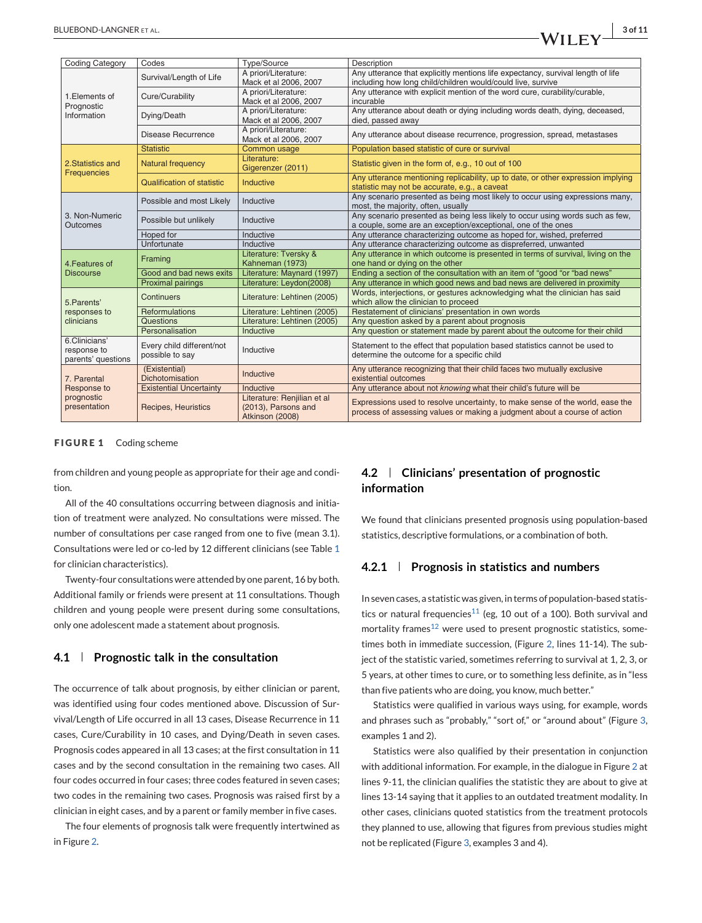<span id="page-2-0"></span>

| <b>Coding Category</b>                                   | Codes                                        | Type/Source                 | Description                                                                                                         |  |
|----------------------------------------------------------|----------------------------------------------|-----------------------------|---------------------------------------------------------------------------------------------------------------------|--|
|                                                          |                                              | A priori/Literature:        | Any utterance that explicitly mentions life expectancy, survival length of life                                     |  |
|                                                          | Survival/Length of Life                      | Mack et al 2006, 2007       | including how long child/children would/could live, survive                                                         |  |
|                                                          | Cure/Curability                              | A priori/Literature:        | Any utterance with explicit mention of the word cure, curability/curable,                                           |  |
| 1. Elements of                                           |                                              | Mack et al 2006, 2007       | incurable                                                                                                           |  |
| Prognostic                                               | Dying/Death                                  | A priori/Literature:        | Any utterance about death or dying including words death, dying, deceased,                                          |  |
| Information                                              |                                              | Mack et al 2006, 2007       | died, passed away                                                                                                   |  |
|                                                          | Disease Recurrence                           | A priori/Literature:        | Any utterance about disease recurrence, progression, spread, metastases                                             |  |
|                                                          |                                              | Mack et al 2006, 2007       |                                                                                                                     |  |
|                                                          | <b>Statistic</b>                             | Common usage                | Population based statistic of cure or survival                                                                      |  |
| 2. Statistics and                                        | <b>Natural frequency</b>                     | Literature:                 | Statistic given in the form of, e.g., 10 out of 100                                                                 |  |
| <b>Frequencies</b>                                       |                                              | Gigerenzer (2011)           |                                                                                                                     |  |
|                                                          | <b>Qualification of statistic</b>            | Inductive                   | Any utterance mentioning replicability, up to date, or other expression implying                                    |  |
|                                                          |                                              |                             | statistic may not be accurate, e.g., a caveat                                                                       |  |
|                                                          | Possible and most Likely                     | Inductive                   | Any scenario presented as being most likely to occur using expressions many.                                        |  |
|                                                          |                                              |                             | most, the majority, often, usually                                                                                  |  |
| 3. Non-Numeric                                           | Possible but unlikely                        | Inductive                   | Any scenario presented as being less likely to occur using words such as few,                                       |  |
| <b>Outcomes</b>                                          |                                              |                             | a couple, some are an exception/exceptional, one of the ones                                                        |  |
|                                                          | Hoped for                                    | Inductive                   | Any utterance characterizing outcome as hoped for, wished, preferred                                                |  |
|                                                          | Unfortunate                                  | Inductive                   | Any utterance characterizing outcome as dispreferred, unwanted                                                      |  |
|                                                          | Framing                                      | Literature: Tversky &       | Any utterance in which outcome is presented in terms of survival, living on the                                     |  |
| 4. Features of                                           |                                              | Kahneman (1973)             | one hand or dying on the other                                                                                      |  |
| <b>Discourse</b>                                         | Good and bad news exits                      | Literature: Maynard (1997)  | Ending a section of the consultation with an item of "good "or "bad news"                                           |  |
|                                                          | <b>Proximal pairings</b>                     | Literature: Leydon(2008)    | Any utterance in which good news and bad news are delivered in proximity                                            |  |
| 5. Parents'                                              | Continuers                                   | Literature: Lehtinen (2005) | Words, interjections, or gestures acknowledging what the clinician has said<br>which allow the clinician to proceed |  |
| responses to                                             | Reformulations                               | Literature: Lehtinen (2005) | Restatement of clinicians' presentation in own words                                                                |  |
| clinicians                                               | <b>Questions</b>                             | Literature: Lehtinen (2005) | Any question asked by a parent about prognosis                                                                      |  |
|                                                          | Personalisation                              | Inductive                   | Any question or statement made by parent about the outcome for their child                                          |  |
| 6.Clinicians'                                            | Every child different/not<br>possible to say | Inductive                   |                                                                                                                     |  |
| response to                                              |                                              |                             | Statement to the effect that population based statistics cannot be used to                                          |  |
| parents' questions                                       |                                              |                             | determine the outcome for a specific child                                                                          |  |
| 7. Parental<br>Response to<br>prognostic<br>presentation | (Existential)                                | Inductive                   | Any utterance recognizing that their child faces two mutually exclusive                                             |  |
|                                                          | Dichotomisation                              |                             | existential outcomes                                                                                                |  |
|                                                          | <b>Existential Uncertainty</b>               | Inductive                   | Any utterance about not knowing what their child's future will be                                                   |  |
|                                                          | Recipes, Heuristics                          | Literature: Renjilian et al | Expressions used to resolve uncertainty, to make sense of the world, ease the                                       |  |
|                                                          |                                              | (2013), Parsons and         | process of assessing values or making a judgment about a course of action                                           |  |
|                                                          |                                              | Atkinson (2008)             |                                                                                                                     |  |

#### **FIGURE 1** Coding scheme

from children and young people as appropriate for their age and condition.

All of the 40 consultations occurring between diagnosis and initiation of treatment were analyzed. No consultations were missed. The number of consultations per case ranged from one to five (mean 3.1). Consultations were led or co-led by 12 different clinicians (see Table [1](#page-4-0) for clinician characteristics).

Twenty-four consultations were attended by one parent, 16 by both. Additional family or friends were present at 11 consultations. Though children and young people were present during some consultations, only one adolescent made a statement about prognosis.

#### **4.1 Prognostic talk in the consultation**

The occurrence of talk about prognosis, by either clinician or parent, was identified using four codes mentioned above. Discussion of Survival/Length of Life occurred in all 13 cases, Disease Recurrence in 11 cases, Cure/Curability in 10 cases, and Dying/Death in seven cases. Prognosis codes appeared in all 13 cases; at the first consultation in 11 cases and by the second consultation in the remaining two cases. All four codes occurred in four cases; three codes featured in seven cases; two codes in the remaining two cases. Prognosis was raised first by a clinician in eight cases, and by a parent or family member in five cases.

The four elements of prognosis talk were frequently intertwined as in Figure [2.](#page-3-0)

# **4.2 Clinicians' presentation of prognostic information**

We found that clinicians presented prognosis using population-based statistics, descriptive formulations, or a combination of both.

# **4.2.1 Prognosis in statistics and numbers**

In seven cases, a statistic was given, in terms of population-based statis-tics or natural frequencies<sup>[11](#page-10-0)</sup> (eg, 10 out of a 100). Both survival and mortality frames<sup>[12](#page-10-0)</sup> were used to present prognostic statistics, sometimes both in immediate succession, (Figure [2,](#page-3-0) lines 11-14). The subject of the statistic varied, sometimes referring to survival at 1, 2, 3, or 5 years, at other times to cure, or to something less definite, as in "less than five patients who are doing, you know, much better."

Statistics were qualified in various ways using, for example, words and phrases such as "probably," "sort of," or "around about" (Figure [3,](#page-5-0) examples 1 and 2).

Statistics were also qualified by their presentation in conjunction with additional information. For example, in the dialogue in Figure [2](#page-3-0) at lines 9-11, the clinician qualifies the statistic they are about to give at lines 13-14 saying that it applies to an outdated treatment modality. In other cases, clinicians quoted statistics from the treatment protocols they planned to use, allowing that figures from previous studies might not be replicated (Figure [3,](#page-5-0) examples 3 and 4).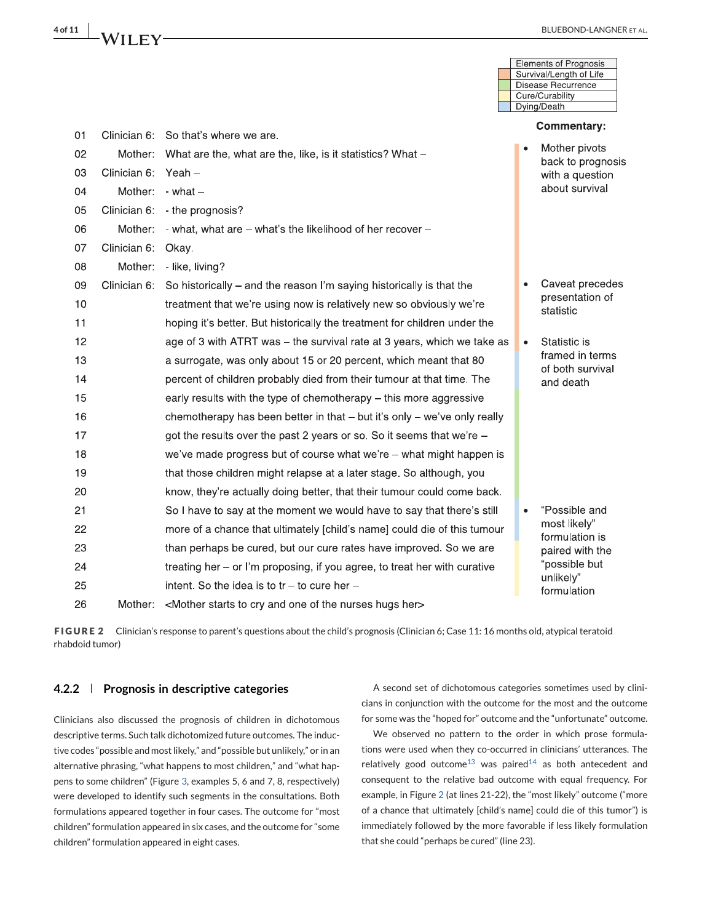<span id="page-3-0"></span>

|    |              |                                                                                              | Elements of Prognosis<br>Survival/Length of Life |
|----|--------------|----------------------------------------------------------------------------------------------|--------------------------------------------------|
|    |              |                                                                                              | Disease Recurrence                               |
|    |              |                                                                                              | Cure/Curability<br>Dying/Death                   |
|    |              |                                                                                              | <b>Commentary:</b>                               |
| 01 |              | Clinician 6: So that's where we are.                                                         |                                                  |
| 02 | Mother:      | What are the, what are the, like, is it statistics? What -                                   | Mother pivots<br>back to prognosis               |
| 03 | Clinician 6: | $Yeah -$                                                                                     | with a question                                  |
| 04 | Mother:      | $-$ what $-$                                                                                 | about survival                                   |
| 05 | Clinician 6: | - the prognosis?                                                                             |                                                  |
| 06 | Mother:      | - what, what are – what's the likelihood of her recover –                                    |                                                  |
| 07 | Clinician 6: | Okay.                                                                                        |                                                  |
| 08 | Mother:      | - like, living?                                                                              |                                                  |
| 09 | Clinician 6: | So historically – and the reason I'm saying historically is that the                         | Caveat precedes<br>$\bullet$                     |
| 10 |              | treatment that we're using now is relatively new so obviously we're                          | presentation of<br>statistic                     |
| 11 |              | hoping it's better. But historically the treatment for children under the                    |                                                  |
| 12 |              | age of 3 with ATRT was - the survival rate at 3 years, which we take as                      | Statistic is<br>$\bullet$                        |
| 13 |              | a surrogate, was only about 15 or 20 percent, which meant that 80                            | framed in terms<br>of both survival              |
| 14 |              | percent of children probably died from their tumour at that time. The                        | and death                                        |
| 15 |              | early results with the type of chemotherapy - this more aggressive                           |                                                  |
| 16 |              | chemotherapy has been better in that - but it's only - we've only really                     |                                                  |
| 17 |              | got the results over the past 2 years or so. So it seems that we're -                        |                                                  |
| 18 |              | we've made progress but of course what we're - what might happen is                          |                                                  |
| 19 |              | that those children might relapse at a later stage. So although, you                         |                                                  |
| 20 |              | know, they're actually doing better, that their tumour could come back.                      |                                                  |
| 21 |              | So I have to say at the moment we would have to say that there's still                       | "Possible and<br>$\bullet$                       |
| 22 |              | more of a chance that ultimately [child's name] could die of this tumour                     | most likely"<br>formulation is                   |
| 23 |              | than perhaps be cured, but our cure rates have improved. So we are                           | paired with the                                  |
| 24 |              | treating her - or I'm proposing, if you agree, to treat her with curative                    | "possible but                                    |
| 25 |              | intent. So the idea is to $tr - to$ cure her $-$                                             | unlikely"<br>formulation                         |
| 26 | Mother:      | <mother and="" cry="" her="" hugs="" nurses="" of="" one="" starts="" the="" to=""></mother> |                                                  |

**FIGURE 2** Clinician's response to parent's questions about the child's prognosis (Clinician 6; Case 11: 16 months old, atypical teratoid rhabdoid tumor)

#### **4.2.2 Prognosis in descriptive categories**

Clinicians also discussed the prognosis of children in dichotomous descriptive terms. Such talk dichotomized future outcomes. The inductive codes "possible and most likely," and "possible but unlikely," or in an alternative phrasing, "what happens to most children," and "what happens to some children" (Figure [3,](#page-5-0) examples 5, 6 and 7, 8, respectively) were developed to identify such segments in the consultations. Both formulations appeared together in four cases. The outcome for "most children" formulation appeared in six cases, and the outcome for "some children" formulation appeared in eight cases.

A second set of dichotomous categories sometimes used by clinicians in conjunction with the outcome for the most and the outcome for some was the "hoped for" outcome and the "unfortunate" outcome.

We observed no pattern to the order in which prose formulations were used when they co-occurred in clinicians' utterances. The relatively good outcome<sup>[13](#page-10-0)</sup> was paired<sup>[14](#page-10-0)</sup> as both antecedent and consequent to the relative bad outcome with equal frequency. For example, in Figure 2 (at lines 21-22), the "most likely" outcome ("more of a chance that ultimately [child's name] could die of this tumor") is immediately followed by the more favorable if less likely formulation that she could "perhaps be cured" (line 23).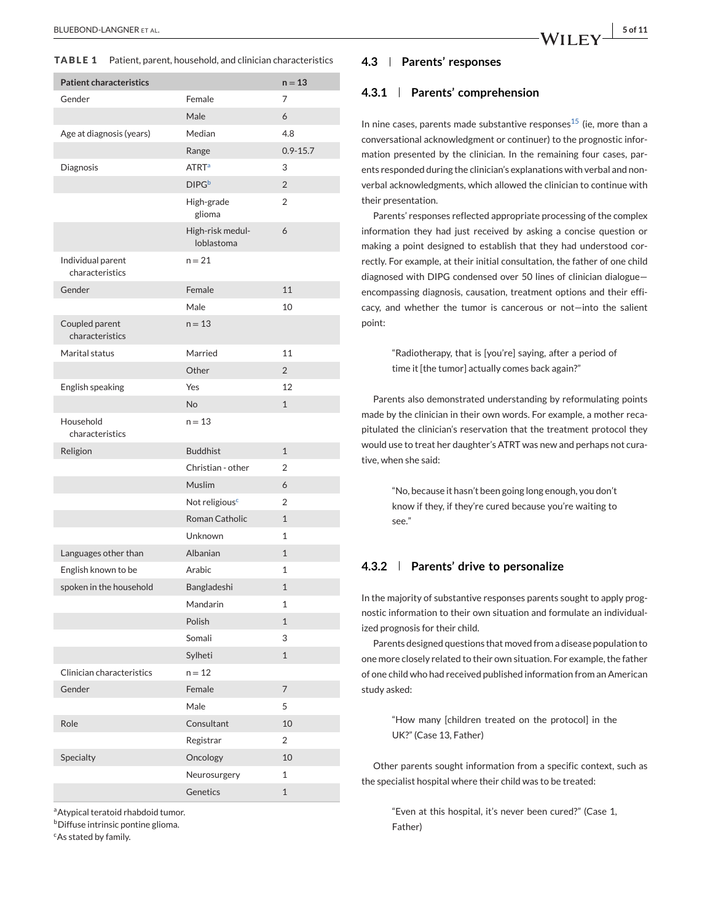<span id="page-4-0"></span>**TABLE 1** Patient, parent, household, and clinician characteristics

| <b>Patient characteristics</b>       |                                | $n = 13$       |
|--------------------------------------|--------------------------------|----------------|
| Gender                               | Female                         | 7              |
|                                      | Male                           | 6              |
| Age at diagnosis (years)             | Median                         | 4.8            |
|                                      | Range                          | $0.9 - 15.7$   |
| Diagnosis                            | <b>ATRT<sup>a</sup></b>        | 3              |
|                                      | <b>DIPG</b> b                  | $\overline{2}$ |
|                                      | High-grade<br>glioma           | $\overline{2}$ |
|                                      | High-risk medul-<br>loblastoma | 6              |
| Individual parent<br>characteristics | $n = 21$                       |                |
| Gender                               | Female                         | 11             |
|                                      | Male                           | 10             |
| Coupled parent<br>characteristics    | $n = 13$                       |                |
| Marital status                       | Married                        | 11             |
|                                      | Other                          | $\overline{2}$ |
| English speaking                     | Yes                            | 12             |
|                                      | No                             | $\mathbf{1}$   |
| Household<br>characteristics         | $n = 13$                       |                |
| Religion                             | <b>Buddhist</b>                | $\mathbf{1}$   |
|                                      | Christian - other              | $\overline{2}$ |
|                                      | Muslim                         | 6              |
|                                      | Not religious <sup>c</sup>     | $\overline{2}$ |
|                                      | <b>Roman Catholic</b>          | $\mathbf{1}$   |
|                                      | Unknown                        | 1              |
| Languages other than                 | Albanian                       | $\mathbf{1}$   |
| English known to be                  | Arabic                         | 1              |
| spoken in the household              | Bangladeshi                    | $\mathbf{1}$   |
|                                      | Mandarin                       | 1              |
|                                      | Polish                         | $\mathbf{1}$   |
|                                      | Somali                         | 3              |
|                                      | Sylheti                        | $\mathbf{1}$   |
| Clinician characteristics            | $n = 12$                       |                |
| Gender                               | Female                         | $\overline{7}$ |
|                                      | Male                           | 5              |
| Role                                 | Consultant                     | 10             |
|                                      | Registrar                      | $\overline{2}$ |
| Specialty                            | Oncology                       | 10             |
|                                      | Neurosurgery                   | 1              |
|                                      | Genetics                       | $\mathbf{1}$   |

<sup>a</sup>Atypical teratoid rhabdoid tumor.

**b**Diffuse intrinsic pontine glioma.

cAs stated by family.

# **4.3 Parents' responses**

#### **4.3.1 Parents' comprehension**

In nine cases, parents made substantive responses<sup>[15](#page-10-0)</sup> (ie, more than a conversational acknowledgment or continuer) to the prognostic information presented by the clinician. In the remaining four cases, parents responded during the clinician's explanations with verbal and nonverbal acknowledgments, which allowed the clinician to continue with their presentation.

Parents' responses reflected appropriate processing of the complex information they had just received by asking a concise question or making a point designed to establish that they had understood correctly. For example, at their initial consultation, the father of one child diagnosed with DIPG condensed over 50 lines of clinician dialogue encompassing diagnosis, causation, treatment options and their efficacy, and whether the tumor is cancerous or not—into the salient point:

> "Radiotherapy, that is [you're] saying, after a period of time it [the tumor] actually comes back again?"

Parents also demonstrated understanding by reformulating points made by the clinician in their own words. For example, a mother recapitulated the clinician's reservation that the treatment protocol they would use to treat her daughter's ATRT was new and perhaps not curative, when she said:

> "No, because it hasn't been going long enough, you don't know if they, if they're cured because you're waiting to see."

#### **4.3.2 Parents' drive to personalize**

In the majority of substantive responses parents sought to apply prognostic information to their own situation and formulate an individualized prognosis for their child.

Parents designed questions that moved from a disease population to one more closely related to their own situation. For example, the father of one child who had received published information from an American study asked:

> "How many [children treated on the protocol] in the UK?" (Case 13, Father)

Other parents sought information from a specific context, such as the specialist hospital where their child was to be treated:

> "Even at this hospital, it's never been cured?" (Case 1, Father)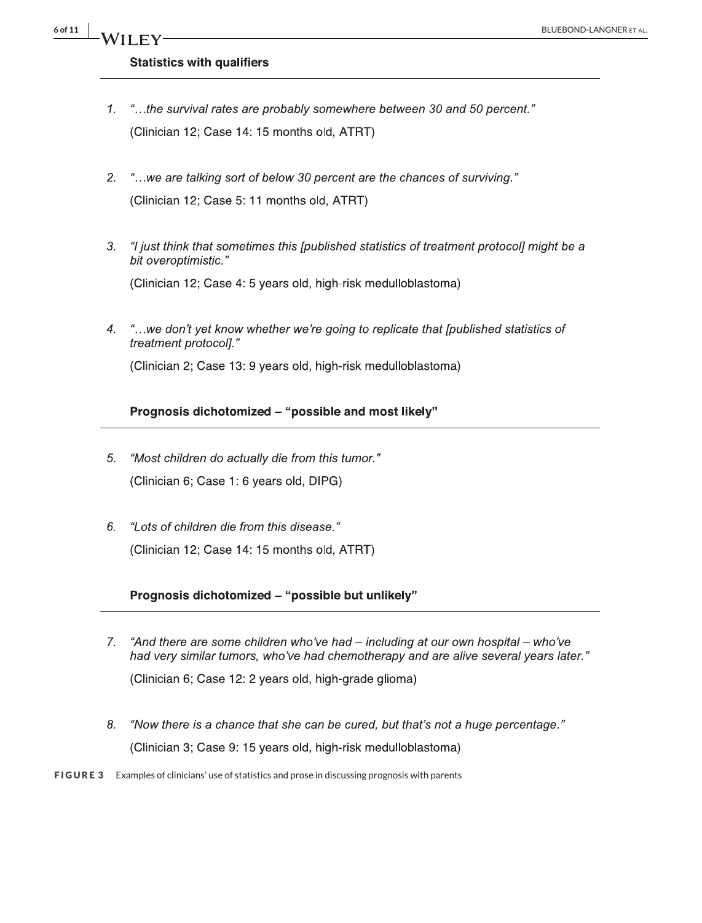# <span id="page-5-0"></span>**Statistics with qualifiers**

- "...the survival rates are probably somewhere between 30 and 50 percent."  $\mathcal{I}$ . (Clinician 12; Case 14: 15 months old, ATRT)
- "...we are talking sort of below 30 percent are the chances of surviving."  $2.$ (Clinician 12; Case 5: 11 months old, ATRT)
- $3.$ "I just think that sometimes this [published statistics of treatment protocol] might be a bit overoptimistic."

(Clinician 12; Case 4: 5 years old, high-risk medulloblastoma)

"...we don't yet know whether we're going to replicate that [published statistics of  $\overline{4}$ . treatment protocol]."

(Clinician 2; Case 13: 9 years old, high-risk medulloblastoma)

# Prognosis dichotomized - "possible and most likely"

- "Most children do actually die from this tumor." 5. (Clinician 6; Case 1: 6 years old, DIPG)
- "Lots of children die from this disease." 6. (Clinician 12; Case 14: 15 months old, ATRT)

# Prognosis dichotomized - "possible but unlikely"

- "And there are some children who've had including at our own hospital who've 7. had very similar tumors, who've had chemotherapy and are alive several years later." (Clinician 6; Case 12: 2 years old, high-grade glioma)
- 8. "Now there is a chance that she can be cured, but that's not a huge percentage." (Clinician 3; Case 9: 15 years old, high-risk medulloblastoma)

#### **FIGURE 3** Examples of clinicians' use of statistics and prose in discussing prognosis with parents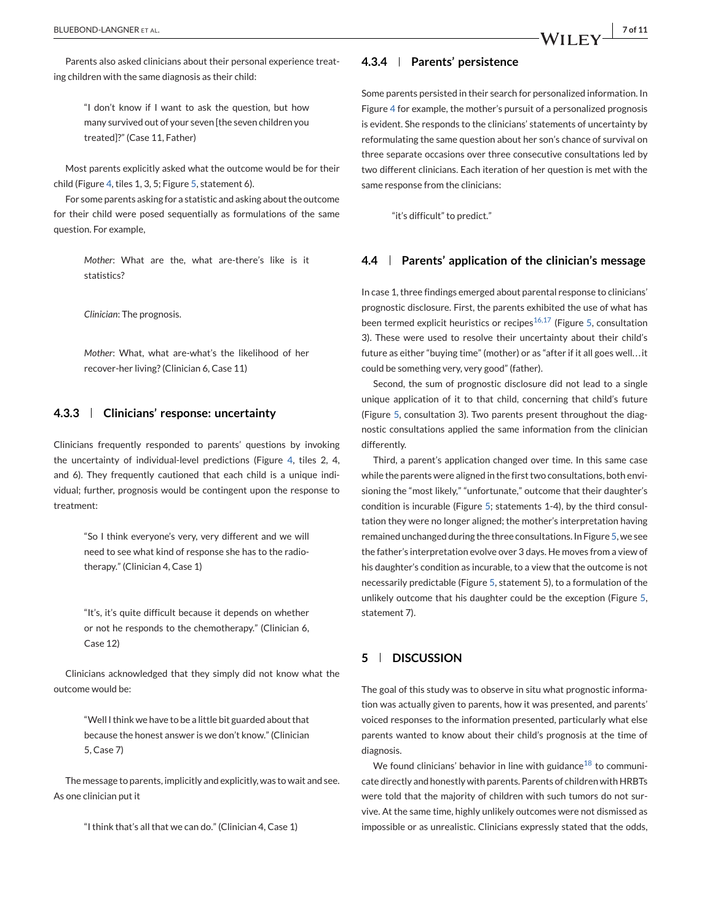Parents also asked clinicians about their personal experience treating children with the same diagnosis as their child:

> "I don't know if I want to ask the question, but how many survived out of your seven [the seven children you treated]?" (Case 11, Father)

Most parents explicitly asked what the outcome would be for their child (Figure [4,](#page-7-0) tiles 1, 3, 5; Figure [5,](#page-8-0) statement 6).

For some parents asking for a statistic and asking about the outcome for their child were posed sequentially as formulations of the same question. For example,

> *Mother*: What are the, what are-there's like is it statistics?

*Clinician*: The prognosis.

*Mother*: What, what are-what's the likelihood of her recover-her living? (Clinician 6, Case 11)

#### **4.3.3 Clinicians' response: uncertainty**

Clinicians frequently responded to parents' questions by invoking the uncertainty of individual-level predictions (Figure [4,](#page-7-0) tiles 2, 4, and 6). They frequently cautioned that each child is a unique individual; further, prognosis would be contingent upon the response to treatment:

> "So I think everyone's very, very different and we will need to see what kind of response she has to the radiotherapy." (Clinician 4, Case 1)

> "It's, it's quite difficult because it depends on whether or not he responds to the chemotherapy." (Clinician 6, Case 12)

Clinicians acknowledged that they simply did not know what the outcome would be:

> "Well I think we have to be a little bit guarded about that because the honest answer is we don't know." (Clinician 5, Case 7)

The message to parents, implicitly and explicitly, was to wait and see. As one clinician put it

"I think that's all that we can do." (Clinician 4, Case 1)

#### **4.3.4 Parents' persistence**

Some parents persisted in their search for personalized information. In Figure [4](#page-7-0) for example, the mother's pursuit of a personalized prognosis is evident. She responds to the clinicians' statements of uncertainty by reformulating the same question about her son's chance of survival on three separate occasions over three consecutive consultations led by two different clinicians. Each iteration of her question is met with the same response from the clinicians:

"it's difficult" to predict."

#### **4.4 Parents' application of the clinician's message**

In case 1, three findings emerged about parental response to clinicians' prognostic disclosure. First, the parents exhibited the use of what has been termed explicit heuristics or recipes<sup>[16,17](#page-10-0)</sup> (Figure [5,](#page-8-0) consultation 3). These were used to resolve their uncertainty about their child's future as either "buying time" (mother) or as "after if it all goes well. . .it could be something very, very good" (father).

Second, the sum of prognostic disclosure did not lead to a single unique application of it to that child, concerning that child's future (Figure [5,](#page-8-0) consultation 3). Two parents present throughout the diagnostic consultations applied the same information from the clinician differently.

Third, a parent's application changed over time. In this same case while the parents were aligned in the first two consultations, both envisioning the "most likely," "unfortunate," outcome that their daughter's condition is incurable (Figure [5;](#page-8-0) statements 1-4), by the third consultation they were no longer aligned; the mother's interpretation having remained unchanged during the three consultations. In Figure [5,](#page-8-0) we see the father's interpretation evolve over 3 days. He moves from a view of his daughter's condition as incurable, to a view that the outcome is not necessarily predictable (Figure [5,](#page-8-0) statement 5), to a formulation of the unlikely outcome that his daughter could be the exception (Figure [5,](#page-8-0) statement 7).

# **5 DISCUSSION**

The goal of this study was to observe in situ what prognostic information was actually given to parents, how it was presented, and parents' voiced responses to the information presented, particularly what else parents wanted to know about their child's prognosis at the time of diagnosis.

We found clinicians' behavior in line with guidance<sup>[18](#page-10-0)</sup> to communicate directly and honestly with parents. Parents of children with HRBTs were told that the majority of children with such tumors do not survive. At the same time, highly unlikely outcomes were not dismissed as impossible or as unrealistic. Clinicians expressly stated that the odds,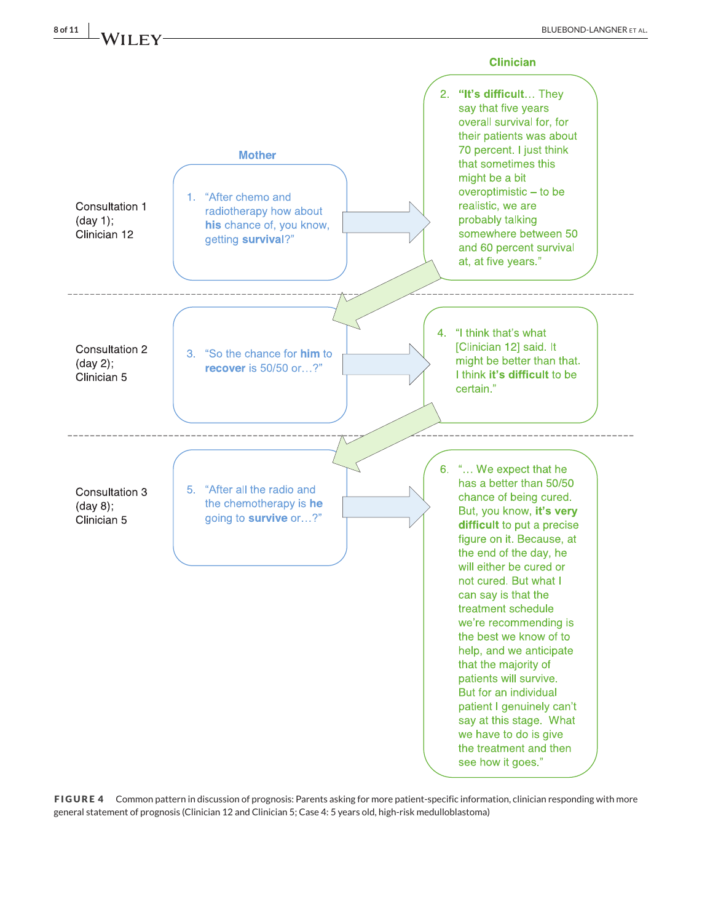

<span id="page-7-0"></span>

**FIGURE 4** Common pattern in discussion of prognosis: Parents asking for more patient-specific information, clinician responding with more general statement of prognosis (Clinician 12 and Clinician 5; Case 4: 5 years old, high-risk medulloblastoma)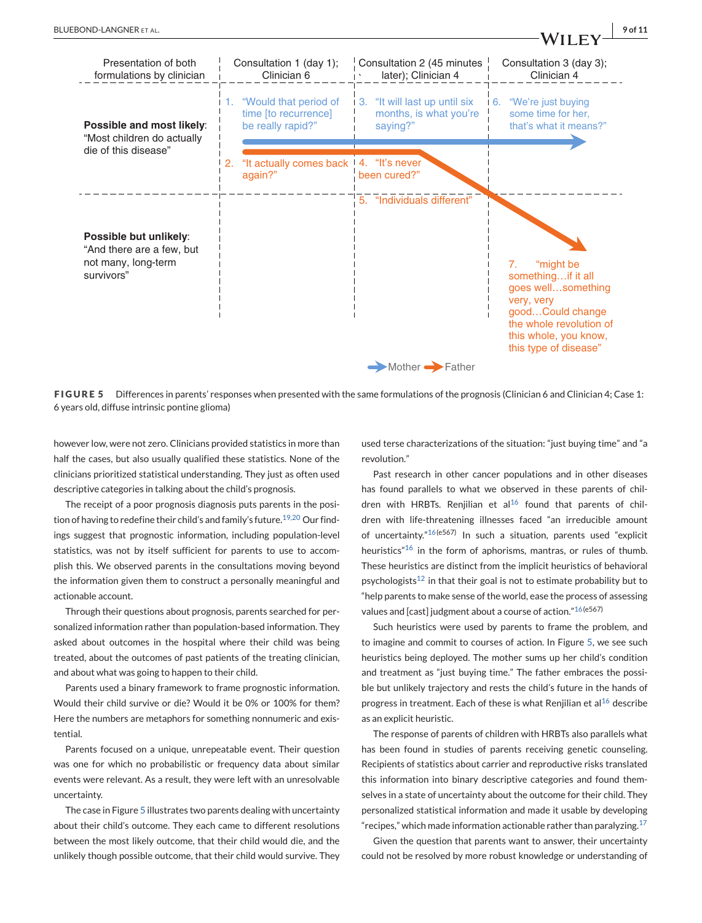<span id="page-8-0"></span>

**FIGURE 5** Differences in parents' responses when presented with the same formulations of the prognosis (Clinician 6 and Clinician 4; Case 1: 6 years old, diffuse intrinsic pontine glioma)

however low, were not zero. Clinicians provided statistics in more than half the cases, but also usually qualified these statistics. None of the clinicians prioritized statistical understanding. They just as often used descriptive categories in talking about the child's prognosis.

The receipt of a poor prognosis diagnosis puts parents in the posi-tion of having to redefine their child's and family's future.<sup>[19,20](#page-10-0)</sup> Our findings suggest that prognostic information, including population-level statistics, was not by itself sufficient for parents to use to accomplish this. We observed parents in the consultations moving beyond the information given them to construct a personally meaningful and actionable account.

Through their questions about prognosis, parents searched for personalized information rather than population-based information. They asked about outcomes in the hospital where their child was being treated, about the outcomes of past patients of the treating clinician, and about what was going to happen to their child.

Parents used a binary framework to frame prognostic information. Would their child survive or die? Would it be 0% or 100% for them? Here the numbers are metaphors for something nonnumeric and existential.

Parents focused on a unique, unrepeatable event. Their question was one for which no probabilistic or frequency data about similar events were relevant. As a result, they were left with an unresolvable uncertainty.

The case in Figure 5 illustrates two parents dealing with uncertainty about their child's outcome. They each came to different resolutions between the most likely outcome, that their child would die, and the unlikely though possible outcome, that their child would survive. They

used terse characterizations of the situation: "just buying time" and "a revolution."

Past research in other cancer populations and in other diseases has found parallels to what we observed in these parents of chil-dren with HRBTs. Reniilian et al<sup>[16](#page-10-0)</sup> found that parents of children with life-threatening illnesses faced "an irreducible amount of uncertainty."[16\(](#page-10-0)e567) In such a situation, parents used "explicit heuristics<sup>["16](#page-10-0)</sup> in the form of aphorisms, mantras, or rules of thumb. These heuristics are distinct from the implicit heuristics of behavioral psychologists<sup>[12](#page-10-0)</sup> in that their goal is not to estimate probability but to "help parents to make sense of the world, ease the process of assessing values and [cast] judgment about a course of action."[16\(](#page-10-0)e567)

Such heuristics were used by parents to frame the problem, and to imagine and commit to courses of action. In Figure 5, we see such heuristics being deployed. The mother sums up her child's condition and treatment as "just buying time." The father embraces the possible but unlikely trajectory and rests the child's future in the hands of progress in treatment. Each of these is what Renjilian et al<sup>[16](#page-10-0)</sup> describe as an explicit heuristic.

The response of parents of children with HRBTs also parallels what has been found in studies of parents receiving genetic counseling. Recipients of statistics about carrier and reproductive risks translated this information into binary descriptive categories and found themselves in a state of uncertainty about the outcome for their child. They personalized statistical information and made it usable by developing " recipes," which made information actionable rather than paralyzing.<sup>[17](#page-10-0)</sup>

Given the question that parents want to answer, their uncertainty could not be resolved by more robust knowledge or understanding of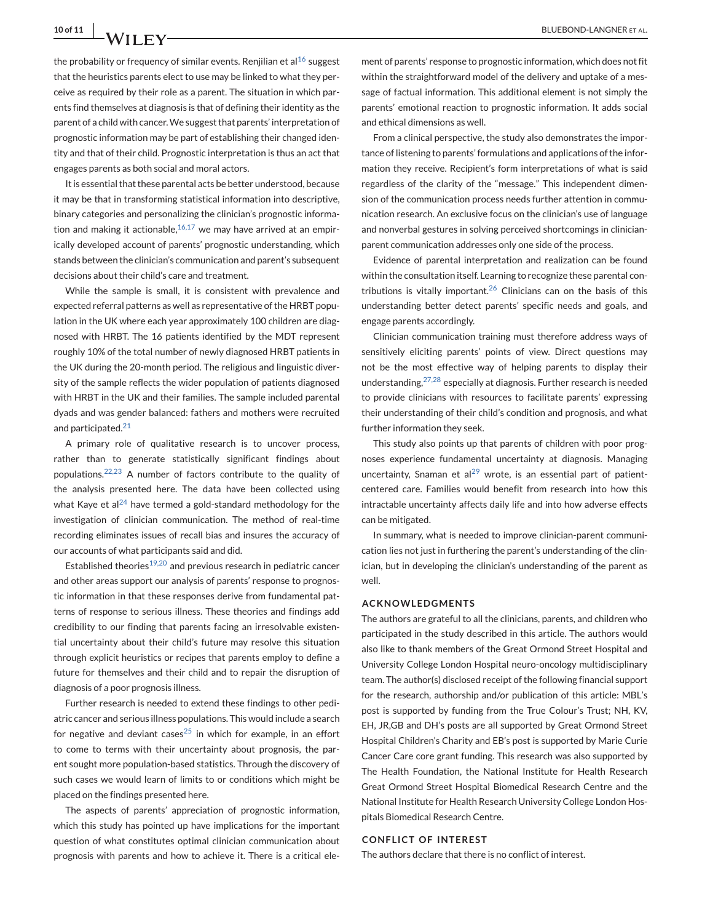the probability or frequency of similar events. Renjilian et al<sup>[16](#page-10-0)</sup> suggest that the heuristics parents elect to use may be linked to what they perceive as required by their role as a parent. The situation in which parents find themselves at diagnosis is that of defining their identity as the parent of a child with cancer.We suggest that parents' interpretation of prognostic information may be part of establishing their changed identity and that of their child. Prognostic interpretation is thus an act that engages parents as both social and moral actors.

It is essential that these parental acts be better understood, because it may be that in transforming statistical information into descriptive, binary categories and personalizing the clinician's prognostic information and making it actionable,  $16,17$  we may have arrived at an empirically developed account of parents' prognostic understanding, which stands between the clinician's communication and parent's subsequent decisions about their child's care and treatment.

While the sample is small, it is consistent with prevalence and expected referral patterns as well as representative of the HRBT population in the UK where each year approximately 100 children are diagnosed with HRBT. The 16 patients identified by the MDT represent roughly 10% of the total number of newly diagnosed HRBT patients in the UK during the 20-month period. The religious and linguistic diversity of the sample reflects the wider population of patients diagnosed with HRBT in the UK and their families. The sample included parental dyads and was gender balanced: fathers and mothers were recruited and participated.<sup>[21](#page-10-0)</sup>

A primary role of qualitative research is to uncover process, rather than to generate statistically significant findings about populations. $22,23$  A number of factors contribute to the quality of the analysis presented here. The data have been collected using what Kaye et al<sup>[24](#page-10-0)</sup> have termed a gold-standard methodology for the investigation of clinician communication. The method of real-time recording eliminates issues of recall bias and insures the accuracy of our accounts of what participants said and did.

Established theories<sup>[19,20](#page-10-0)</sup> and previous research in pediatric cancer and other areas support our analysis of parents' response to prognostic information in that these responses derive from fundamental patterns of response to serious illness. These theories and findings add credibility to our finding that parents facing an irresolvable existential uncertainty about their child's future may resolve this situation through explicit heuristics or recipes that parents employ to define a future for themselves and their child and to repair the disruption of diagnosis of a poor prognosis illness.

Further research is needed to extend these findings to other pediatric cancer and serious illness populations. This would include a search for negative and deviant cases $25$  in which for example, in an effort to come to terms with their uncertainty about prognosis, the parent sought more population-based statistics. Through the discovery of such cases we would learn of limits to or conditions which might be placed on the findings presented here.

The aspects of parents' appreciation of prognostic information, which this study has pointed up have implications for the important question of what constitutes optimal clinician communication about prognosis with parents and how to achieve it. There is a critical element of parents' response to prognostic information, which does not fit within the straightforward model of the delivery and uptake of a message of factual information. This additional element is not simply the parents' emotional reaction to prognostic information. It adds social and ethical dimensions as well.

From a clinical perspective, the study also demonstrates the importance of listening to parents' formulations and applications of the information they receive. Recipient's form interpretations of what is said regardless of the clarity of the "message." This independent dimension of the communication process needs further attention in communication research. An exclusive focus on the clinician's use of language and nonverbal gestures in solving perceived shortcomings in clinicianparent communication addresses only one side of the process.

Evidence of parental interpretation and realization can be found within the consultation itself. Learning to recognize these parental con-tributions is vitally important.<sup>[26](#page-10-0)</sup> Clinicians can on the basis of this understanding better detect parents' specific needs and goals, and engage parents accordingly.

Clinician communication training must therefore address ways of sensitively eliciting parents' points of view. Direct questions may not be the most effective way of helping parents to display their understanding,  $27,28$  especially at diagnosis. Further research is needed to provide clinicians with resources to facilitate parents' expressing their understanding of their child's condition and prognosis, and what further information they seek.

This study also points up that parents of children with poor prognoses experience fundamental uncertainty at diagnosis. Managing uncertainty, Snaman et al<sup>[29](#page-10-0)</sup> wrote, is an essential part of patientcentered care. Families would benefit from research into how this intractable uncertainty affects daily life and into how adverse effects can be mitigated.

In summary, what is needed to improve clinician-parent communication lies not just in furthering the parent's understanding of the clinician, but in developing the clinician's understanding of the parent as well.

#### **ACKNOWLEDGMENTS**

The authors are grateful to all the clinicians, parents, and children who participated in the study described in this article. The authors would also like to thank members of the Great Ormond Street Hospital and University College London Hospital neuro-oncology multidisciplinary team. The author(s) disclosed receipt of the following financial support for the research, authorship and/or publication of this article: MBL's post is supported by funding from the True Colour's Trust; NH, KV, EH, JR,GB and DH's posts are all supported by Great Ormond Street Hospital Children's Charity and EB's post is supported by Marie Curie Cancer Care core grant funding. This research was also supported by The Health Foundation, the National Institute for Health Research Great Ormond Street Hospital Biomedical Research Centre and the National Institute for Health Research University College London Hospitals Biomedical Research Centre.

#### **CONFLICT OF INTEREST**

The authors declare that there is no conflict of interest.